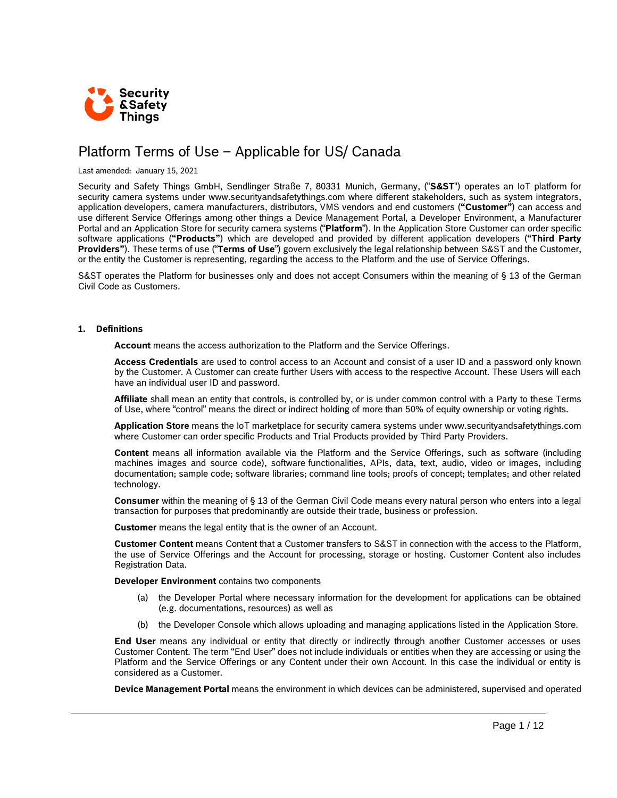

# Platform Terms of Use – Applicable for US/ Canada

Last amended: January 15, 2021

Security and Safety Things GmbH, Sendlinger Straße 7, 80331 Munich, Germany, ("**S&ST**") operates an IoT platform for security camera systems under www.securityandsafetythings.com where different stakeholders, such as system integrators, application developers, camera manufacturers, distributors, VMS vendors and end customers (**"Customer"**) can access and use different Service Offerings among other things a Device Management Portal, a Developer Environment, a Manufacturer Portal and an Application Store for security camera systems ("**Platform**"). In the Application Store Customer can order specific software applications (**"Products"**) which are developed and provided by different application developers (**"Third Party Providers"**). These terms of use ("**Terms of Use**") govern exclusively the legal relationship between S&ST and the Customer, or the entity the Customer is representing, regarding the access to the Platform and the use of Service Offerings.

S&ST operates the Platform for businesses only and does not accept Consumers within the meaning of § 13 of the German Civil Code as Customers.

#### **1. Definitions**

**Account** means the access authorization to the Platform and the Service Offerings.

**Access Credentials** are used to control access to an Account and consist of a user ID and a password only known by the Customer. A Customer can create further Users with access to the respective Account. These Users will each have an individual user ID and password.

**Affiliate** shall mean an entity that controls, is controlled by, or is under common control with a Party to these Terms of Use, where "control" means the direct or indirect holding of more than 50% of equity ownership or voting rights.

**Application Store** means the IoT marketplace for security camera systems under www.securityandsafetythings.com where Customer can order specific Products and Trial Products provided by Third Party Providers.

**Content** means all information available via the Platform and the Service Offerings, such as software (including machines images and source code), software functionalities, APIs, data, text, audio, video or images, including documentation; sample code; software libraries; command line tools; proofs of concept; templates; and other related technology.

**Consumer** within the meaning of § 13 of the German Civil Code means every natural person who enters into a legal transaction for purposes that predominantly are outside their trade, business or profession.

**Customer** means the legal entity that is the owner of an Account.

**Customer Content** means Content that a Customer transfers to S&ST in connection with the access to the Platform, the use of Service Offerings and the Account for processing, storage or hosting. Customer Content also includes Registration Data.

**Developer Environment** contains two components

- (a) the Developer Portal where necessary information for the development for applications can be obtained (e.g. documentations, resources) as well as
- (b) the Developer Console which allows uploading and managing applications listed in the Application Store.

**End User** means any individual or entity that directly or indirectly through another Customer accesses or uses Customer Content. The term "End User" does not include individuals or entities when they are accessing or using the Platform and the Service Offerings or any Content under their own Account. In this case the individual or entity is considered as a Customer.

**Device Management Portal** means the environment in which devices can be administered, supervised and operated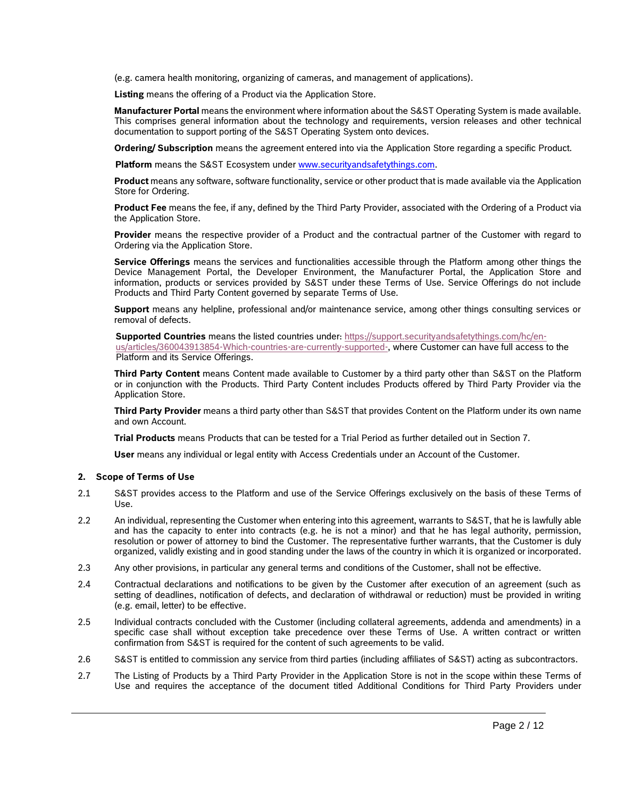(e.g. camera health monitoring, organizing of cameras, and management of applications).

**Listing** means the offering of a Product via the Application Store.

**Manufacturer Portal** means the environment where information about the S&ST Operating System is made available. This comprises general information about the technology and requirements, version releases and other technical documentation to support porting of the S&ST Operating System onto devices.

**Ordering/ Subscription** means the agreement entered into via the Application Store regarding a specific Product.

**Platform** means the S&ST Ecosystem under [www.securityandsafetythings.com.](http://www.securityandsafetythings.com/)

**Product** means any software, software functionality, service or other product that is made available via the Application Store for Ordering.

**Product Fee** means the fee, if any, defined by the Third Party Provider, associated with the Ordering of a Product via the Application Store.

**Provider** means the respective provider of a Product and the contractual partner of the Customer with regard to Ordering via the Application Store.

**Service Offerings** means the services and functionalities accessible through the Platform among other things the Device Management Portal, the Developer Environment, the Manufacturer Portal, the Application Store and information, products or services provided by S&ST under these Terms of Use. Service Offerings do not include Products and Third Party Content governed by separate Terms of Use.

**Support** means any helpline, professional and/or maintenance service, among other things consulting services or removal of defects.

**Supported Countries** means the listed countries under: [https://support.securityandsafetythings.com/hc/en-](https://support.securityandsafetythings.com/hc/en-us/articles/360043913854-Which-countries-are-currently-supported-)

[us/articles/360043913854-Which-countries-are-currently-supported-,](https://support.securityandsafetythings.com/hc/en-us/articles/360043913854-Which-countries-are-currently-supported-) where Customer can have full access to the Platform and its Service Offerings.

**Third Party Content** means Content made available to Customer by a third party other than S&ST on the Platform or in conjunction with the Products. Third Party Content includes Products offered by Third Party Provider via the Application Store.

**Third Party Provider** means a third party other than S&ST that provides Content on the Platform under its own name and own Account.

**Trial Products** means Products that can be tested for a Trial Period as further detailed out in Section 7.

**User** means any individual or legal entity with Access Credentials under an Account of the Customer.

# **2. Scope of Terms of Use**

- 2.1 S&ST provides access to the Platform and use of the Service Offerings exclusively on the basis of these Terms of Use.
- 2.2 An individual, representing the Customer when entering into this agreement, warrants to S&ST, that he is lawfully able and has the capacity to enter into contracts (e.g. he is not a minor) and that he has legal authority, permission, resolution or power of attorney to bind the Customer. The representative further warrants, that the Customer is duly organized, validly existing and in good standing under the laws of the country in which it is organized or incorporated.
- 2.3 Any other provisions, in particular any general terms and conditions of the Customer, shall not be effective.
- 2.4 Contractual declarations and notifications to be given by the Customer after execution of an agreement (such as setting of deadlines, notification of defects, and declaration of withdrawal or reduction) must be provided in writing (e.g. email, letter) to be effective.
- 2.5 Individual contracts concluded with the Customer (including collateral agreements, addenda and amendments) in a specific case shall without exception take precedence over these Terms of Use. A written contract or written confirmation from S&ST is required for the content of such agreements to be valid.
- 2.6 S&ST is entitled to commission any service from third parties (including affiliates of S&ST) acting as subcontractors.
- 2.7 The Listing of Products by a Third Party Provider in the Application Store is not in the scope within these Terms of Use and requires the acceptance of the document titled Additional Conditions for Third Party Providers under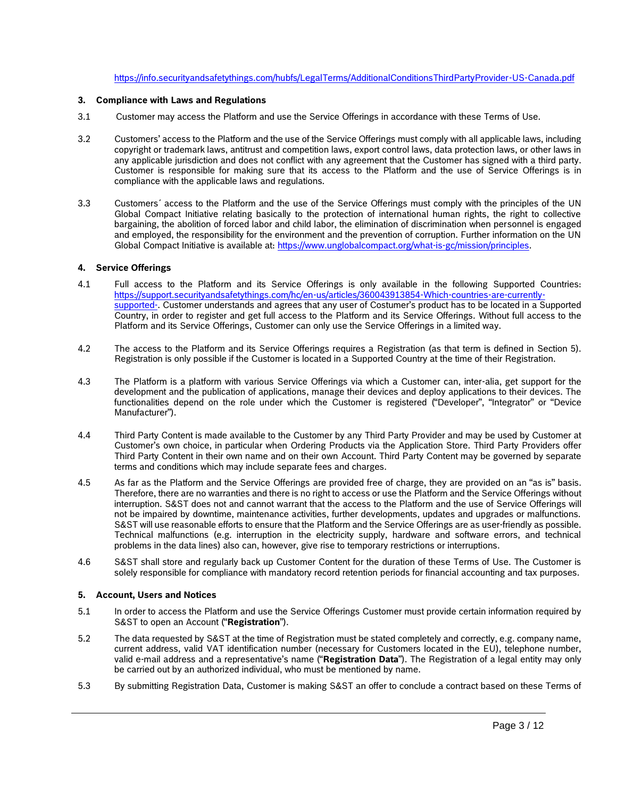# <https://info.securityandsafetythings.com/hubfs/LegalTerms/AdditionalConditionsThirdPartyProvider-US-Canada.pdf>

# **3. Compliance with Laws and Regulations**

- 3.1 Customer may access the Platform and use the Service Offerings in accordance with these Terms of Use.
- 3.2 Customers' access to the Platform and the use of the Service Offerings must comply with all applicable laws, including copyright or trademark laws, antitrust and competition laws, export control laws, data protection laws, or other laws in any applicable jurisdiction and does not conflict with any agreement that the Customer has signed with a third party. Customer is responsible for making sure that its access to the Platform and the use of Service Offerings is in compliance with the applicable laws and regulations.
- 3.3 Customers´ access to the Platform and the use of the Service Offerings must comply with the principles of the UN Global Compact Initiative relating basically to the protection of international human rights, the right to collective bargaining, the abolition of forced labor and child labor, the elimination of discrimination when personnel is engaged and employed, the responsibility for the environment and the prevention of corruption. Further information on the UN Global Compact Initiative is available at: [https://www.unglobalcompact.org/what-is-gc/mission/principles.](https://www.unglobalcompact.org/what-is-gc/mission/principles)

# **4. Service Offerings**

- 4.1 Full access to the Platform and its Service Offerings is only available in the following Supported Countries: [https://support.securityandsafetythings.com/hc/en-us/articles/360043913854-Which-countries-are-currently](https://support.securityandsafetythings.com/hc/en-us/articles/360043913854-Which-countries-are-currently-supported-)[supported-.](https://support.securityandsafetythings.com/hc/en-us/articles/360043913854-Which-countries-are-currently-supported-) Customer understands and agrees that any user of Costumer's product has to be located in a Supported Country, in order to register and get full access to the Platform and its Service Offerings. Without full access to the Platform and its Service Offerings, Customer can only use the Service Offerings in a limited way.
- 4.2 The access to the Platform and its Service Offerings requires a Registration (as that term is defined in Section 5). Registration is only possible if the Customer is located in a Supported Country at the time of their Registration.
- 4.3 The Platform is a platform with various Service Offerings via which a Customer can, inter-alia, get support for the development and the publication of applications, manage their devices and deploy applications to their devices. The functionalities depend on the role under which the Customer is registered ("Developer", "Integrator" or "Device Manufacturer").
- 4.4 Third Party Content is made available to the Customer by any Third Party Provider and may be used by Customer at Customer's own choice, in particular when Ordering Products via the Application Store. Third Party Providers offer Third Party Content in their own name and on their own Account. Third Party Content may be governed by separate terms and conditions which may include separate fees and charges.
- 4.5 As far as the Platform and the Service Offerings are provided free of charge, they are provided on an "as is" basis. Therefore, there are no warranties and there is no right to access or use the Platform and the Service Offerings without interruption. S&ST does not and cannot warrant that the access to the Platform and the use of Service Offerings will not be impaired by downtime, maintenance activities, further developments, updates and upgrades or malfunctions. S&ST will use reasonable efforts to ensure that the Platform and the Service Offerings are as user-friendly as possible. Technical malfunctions (e.g. interruption in the electricity supply, hardware and software errors, and technical problems in the data lines) also can, however, give rise to temporary restrictions or interruptions.
- <span id="page-2-0"></span>4.6 S&ST shall store and regularly back up Customer Content for the duration of these Terms of Use. The Customer is solely responsible for compliance with mandatory record retention periods for financial accounting and tax purposes.

# **5. Account, Users and Notices**

- 5.1 In order to access the Platform and use the Service Offerings Customer must provide certain information required by S&ST to open an Account ("**Registration**").
- 5.2 The data requested by S&ST at the time of Registration must be stated completely and correctly, e.g. company name, current address, valid VAT identification number (necessary for Customers located in the EU), telephone number, valid e-mail address and a representative's name ("**Registration Data**"). The Registration of a legal entity may only be carried out by an authorized individual, who must be mentioned by name.
- 5.3 By submitting Registration Data, Customer is making S&ST an offer to conclude a contract based on these Terms of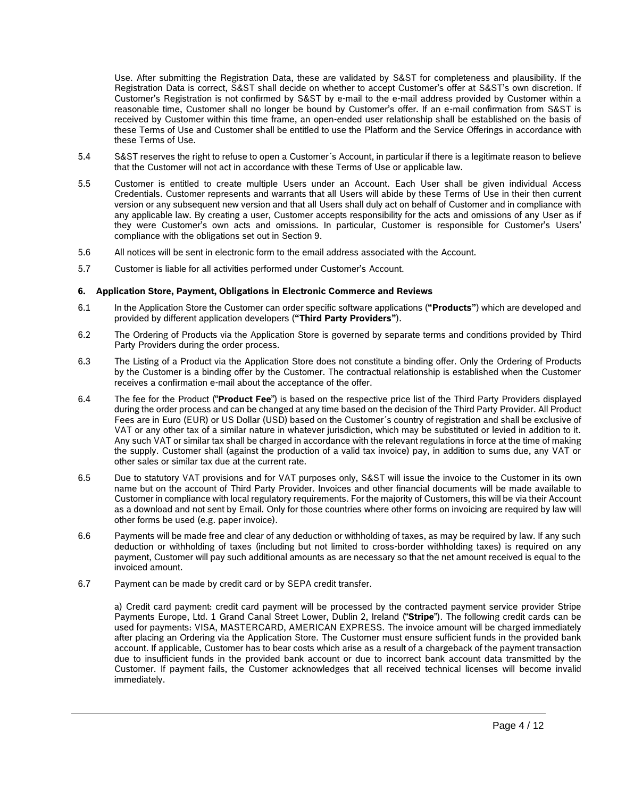Use. After submitting the Registration Data, these are validated by S&ST for completeness and plausibility. If the Registration Data is correct, S&ST shall decide on whether to accept Customer's offer at S&ST's own discretion. If Customer's Registration is not confirmed by S&ST by e-mail to the e-mail address provided by Customer within a reasonable time, Customer shall no longer be bound by Customer's offer. If an e-mail confirmation from S&ST is received by Customer within this time frame, an open-ended user relationship shall be established on the basis of these Terms of Use and Customer shall be entitled to use the Platform and the Service Offerings in accordance with these Terms of Use.

- 5.4 S&ST reserves the right to refuse to open a Customer´s Account, in particular if there is a legitimate reason to believe that the Customer will not act in accordance with these Terms of Use or applicable law.
- 5.5 Customer is entitled to create multiple Users under an Account. Each User shall be given individual Access Credentials. Customer represents and warrants that all Users will abide by these Terms of Use in their then current version or any subsequent new version and that all Users shall duly act on behalf of Customer and in compliance with any applicable law. By creating a user, Customer accepts responsibility for the acts and omissions of any User as if they were Customer's own acts and omissions. In particular, Customer is responsible for Customer's Users' compliance with the obligations set out in Section 9.
- 5.6 All notices will be sent in electronic form to the email address associated with the Account.
- 5.7 Customer is liable for all activities performed under Customer's Account.

# **6. Application Store, Payment, Obligations in Electronic Commerce and Reviews**

- 6.1 In the Application Store the Customer can order specific software applications (**"Products"**) which are developed and provided by different application developers (**"Third Party Providers"**).
- 6.2 The Ordering of Products via the Application Store is governed by separate terms and conditions provided by Third Party Providers during the order process.
- 6.3 The Listing of a Product via the Application Store does not constitute a binding offer. Only the Ordering of Products by the Customer is a binding offer by the Customer. The contractual relationship is established when the Customer receives a confirmation e-mail about the acceptance of the offer.
- 6.4 The fee for the Product ("**Product Fee**") is based on the respective price list of the Third Party Providers displayed during the order process and can be changed at any time based on the decision of the Third Party Provider. All Product Fees are in Euro (EUR) or US Dollar (USD) based on the Customer´s country of registration and shall be exclusive of VAT or any other tax of a similar nature in whatever jurisdiction, which may be substituted or levied in addition to it. Any such VAT or similar tax shall be charged in accordance with the relevant regulations in force at the time of making the supply. Customer shall (against the production of a valid tax invoice) pay, in addition to sums due, any VAT or other sales or similar tax due at the current rate.
- 6.5 Due to statutory VAT provisions and for VAT purposes only, S&ST will issue the invoice to the Customer in its own name but on the account of Third Party Provider. Invoices and other financial documents will be made available to Customer in compliance with local regulatory requirements. For the majority of Customers, this will be via their Account as a download and not sent by Email. Only for those countries where other forms on invoicing are required by law will other forms be used (e.g. paper invoice).
- 6.6 Payments will be made free and clear of any deduction or withholding of taxes, as may be required by law. If any such deduction or withholding of taxes (including but not limited to cross-border withholding taxes) is required on any payment, Customer will pay such additional amounts as are necessary so that the net amount received is equal to the invoiced amount.
- 6.7 Payment can be made by credit card or by SEPA credit transfer.

a) Credit card payment: credit card payment will be processed by the contracted payment service provider Stripe Payments Europe, Ltd. 1 Grand Canal Street Lower, Dublin 2, Ireland ("**Stripe**"). The following credit cards can be used for payments: VISA, MASTERCARD, AMERICAN EXPRESS. The invoice amount will be charged immediately after placing an Ordering via the Application Store. The Customer must ensure sufficient funds in the provided bank account. If applicable, Customer has to bear costs which arise as a result of a chargeback of the payment transaction due to insufficient funds in the provided bank account or due to incorrect bank account data transmitted by the Customer. If payment fails, the Customer acknowledges that all received technical licenses will become invalid immediately.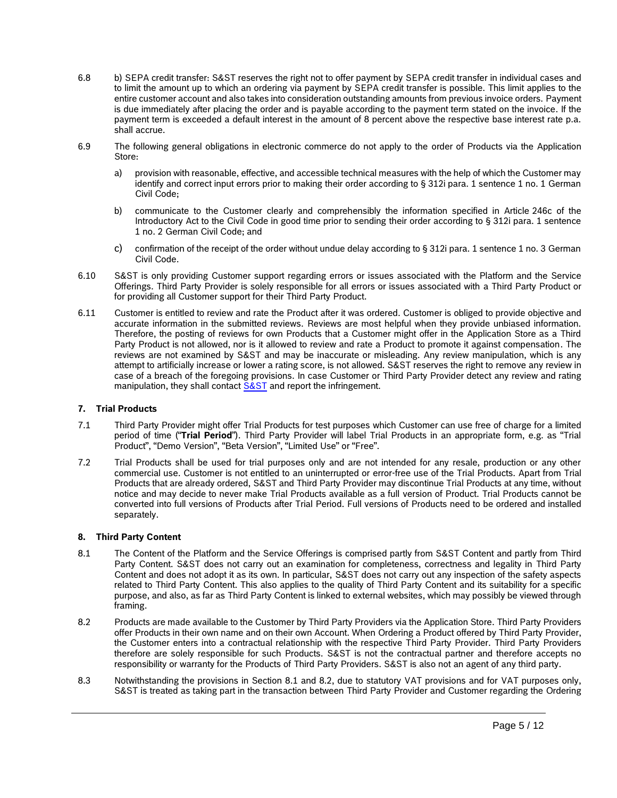- 6.8 b) SEPA credit transfer: S&ST reserves the right not to offer payment by SEPA credit transfer in individual cases and to limit the amount up to which an ordering via payment by SEPA credit transfer is possible. This limit applies to the entire customer account and also takes into consideration outstanding amounts from previous invoice orders. Payment is due immediately after placing the order and is payable according to the payment term stated on the invoice. If the payment term is exceeded a default interest in the amount of 8 percent above the respective base interest rate p.a. shall accrue.
- 6.9 The following general obligations in electronic commerce do not apply to the order of Products via the Application Store:
	- a) provision with reasonable, effective, and accessible technical measures with the help of which the Customer may identify and correct input errors prior to making their order according to § 312i para. 1 sentence 1 no. 1 German Civil Code;
	- b) communicate to the Customer clearly and comprehensibly the information specified in Article 246c of the Introductory Act to the Civil Code in good time prior to sending their order according to § 312i para. 1 sentence 1 no. 2 German Civil Code; and
	- c) confirmation of the receipt of the order without undue delay according to § 312i para. 1 sentence 1 no. 3 German Civil Code.
- 6.10 S&ST is only providing Customer support regarding errors or issues associated with the Platform and the Service Offerings. Third Party Provider is solely responsible for all errors or issues associated with a Third Party Product or for providing all Customer support for their Third Party Product.
- 6.11 Customer is entitled to review and rate the Product after it was ordered. Customer is obliged to provide objective and accurate information in the submitted reviews. Reviews are most helpful when they provide unbiased information. Therefore, the posting of reviews for own Products that a Customer might offer in the Application Store as a Third Party Product is not allowed, nor is it allowed to review and rate a Product to promote it against compensation. The reviews are not examined by S&ST and may be inaccurate or misleading. Any review manipulation, which is any attempt to artificially increase or lower a rating score, is not allowed. S&ST reserves the right to remove any review in case of a breach of the foregoing provisions. In case Customer or Third Party Provider detect any review and rating manipulation, they shall contac[t S&ST](https://www.securityandsafetythings.com/report-infringement) and report the infringement.

# **7. Trial Products**

- 7.1 Third Party Provider might offer Trial Products for test purposes which Customer can use free of charge for a limited period of time ("**Trial Period**"). Third Party Provider will label Trial Products in an appropriate form, e.g. as "Trial Product", "Demo Version", "Beta Version", "Limited Use" or "Free".
- 7.2 Trial Products shall be used for trial purposes only and are not intended for any resale, production or any other commercial use. Customer is not entitled to an uninterrupted or error-free use of the Trial Products. Apart from Trial Products that are already ordered, S&ST and Third Party Provider may discontinue Trial Products at any time, without notice and may decide to never make Trial Products available as a full version of Product. Trial Products cannot be converted into full versions of Products after Trial Period. Full versions of Products need to be ordered and installed separately.

# **8. Third Party Content**

- <span id="page-4-0"></span>8.1 The Content of the Platform and the Service Offerings is comprised partly from S&ST Content and partly from Third Party Content. S&ST does not carry out an examination for completeness, correctness and legality in Third Party Content and does not adopt it as its own. In particular, S&ST does not carry out any inspection of the safety aspects related to Third Party Content. This also applies to the quality of Third Party Content and its suitability for a specific purpose, and also, as far as Third Party Content is linked to external websites, which may possibly be viewed through framing.
- <span id="page-4-1"></span>8.2 Products are made available to the Customer by Third Party Providers via the Application Store. Third Party Providers offer Products in their own name and on their own Account. When Ordering a Product offered by Third Party Provider, the Customer enters into a contractual relationship with the respective Third Party Provider. Third Party Providers therefore are solely responsible for such Products. S&ST is not the contractual partner and therefore accepts no responsibility or warranty for the Products of Third Party Providers. S&ST is also not an agent of any third party.
- 8.3 Notwithstanding the provisions in Section [8.1](#page-4-0) and [8.2,](#page-4-1) due to statutory VAT provisions and for VAT purposes only, S&ST is treated as taking part in the transaction between Third Party Provider and Customer regarding the Ordering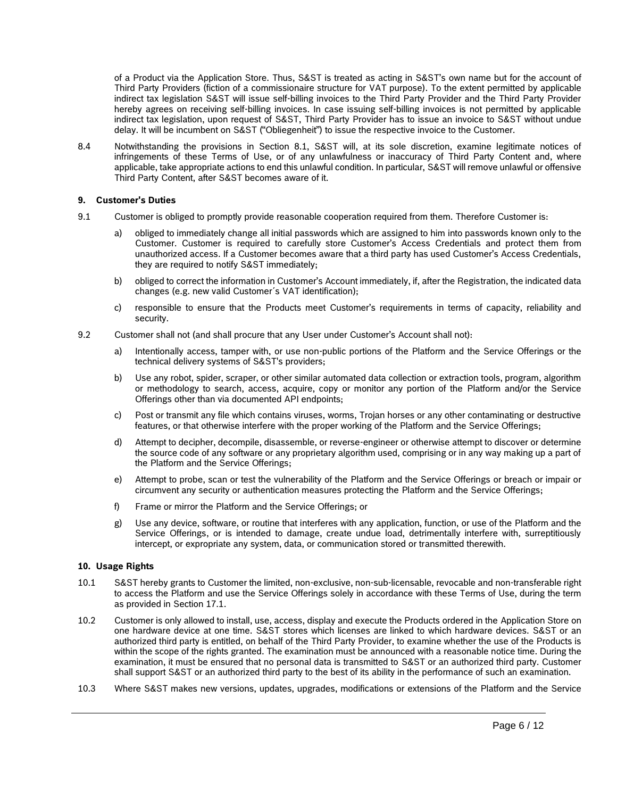of a Product via the Application Store. Thus, S&ST is treated as acting in S&ST's own name but for the account of Third Party Providers (fiction of a commissionaire structure for VAT purpose). To the extent permitted by applicable indirect tax legislation S&ST will issue self-billing invoices to the Third Party Provider and the Third Party Provider hereby agrees on receiving self-billing invoices. In case issuing self-billing invoices is not permitted by applicable indirect tax legislation, upon request of S&ST, Third Party Provider has to issue an invoice to S&ST without undue delay. It will be incumbent on S&ST ("Obliegenheit") to issue the respective invoice to the Customer.

8.4 Notwithstanding the provisions in Section [8.1,](#page-4-0) S&ST will, at its sole discretion, examine legitimate notices of infringements of these Terms of Use, or of any unlawfulness or inaccuracy of Third Party Content and, where applicable, take appropriate actions to end this unlawful condition. In particular, S&ST will remove unlawful or offensive Third Party Content, after S&ST becomes aware of it.

# **9. Customer's Duties**

- 9.1 Customer is obliged to promptly provide reasonable cooperation required from them. Therefore Customer is:
	- a) obliged to immediately change all initial passwords which are assigned to him into passwords known only to the Customer. Customer is required to carefully store Customer's Access Credentials and protect them from unauthorized access. If a Customer becomes aware that a third party has used Customer's Access Credentials, they are required to notify S&ST immediately;
	- b) obliged to correct the information in Customer's Account immediately, if, after the Registration, the indicated data changes (e.g. new valid Customer´s VAT identification);
	- c) responsible to ensure that the Products meet Customer's requirements in terms of capacity, reliability and security.
- 9.2 Customer shall not (and shall procure that any User under Customer's Account shall not):
	- a) Intentionally access, tamper with, or use non-public portions of the Platform and the Service Offerings or the technical delivery systems of S&ST's providers;
	- b) Use any robot, spider, scraper, or other similar automated data collection or extraction tools, program, algorithm or methodology to search, access, acquire, copy or monitor any portion of the Platform and/or the Service Offerings other than via documented API endpoints;
	- c) Post or transmit any file which contains viruses, worms, Trojan horses or any other contaminating or destructive features, or that otherwise interfere with the proper working of the Platform and the Service Offerings;
	- d) Attempt to decipher, decompile, disassemble, or reverse-engineer or otherwise attempt to discover or determine the source code of any software or any proprietary algorithm used, comprising or in any way making up a part of the Platform and the Service Offerings;
	- e) Attempt to probe, scan or test the vulnerability of the Platform and the Service Offerings or breach or impair or circumvent any security or authentication measures protecting the Platform and the Service Offerings;
	- f) Frame or mirror the Platform and the Service Offerings; or
	- g) Use any device, software, or routine that interferes with any application, function, or use of the Platform and the Service Offerings, or is intended to damage, create undue load, detrimentally interfere with, surreptitiously intercept, or expropriate any system, data, or communication stored or transmitted therewith.

# **10. Usage Rights**

- 10.1 S&ST hereby grants to Customer the limited, non-exclusive, non-sub-licensable, revocable and non-transferable right to access the Platform and use the Service Offerings solely in accordance with these Terms of Use, during the term as provided in Section 17.1.
- 10.2 Customer is only allowed to install, use, access, display and execute the Products ordered in the Application Store on one hardware device at one time. S&ST stores which licenses are linked to which hardware devices. S&ST or an authorized third party is entitled, on behalf of the Third Party Provider, to examine whether the use of the Products is within the scope of the rights granted. The examination must be announced with a reasonable notice time. During the examination, it must be ensured that no personal data is transmitted to S&ST or an authorized third party. Customer shall support S&ST or an authorized third party to the best of its ability in the performance of such an examination.
- 10.3 Where S&ST makes new versions, updates, upgrades, modifications or extensions of the Platform and the Service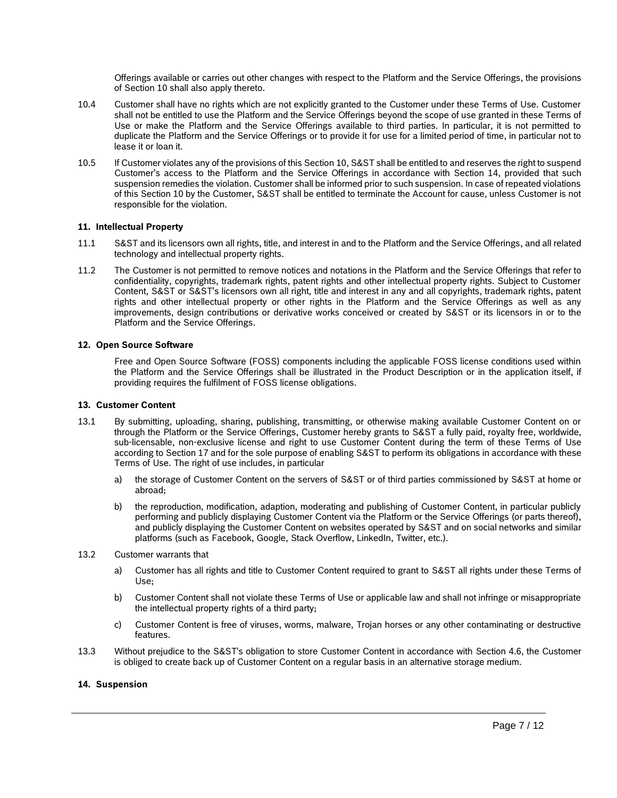Offerings available or carries out other changes with respect to the Platform and the Service Offerings, the provisions of Section 10 shall also apply thereto.

- 10.4 Customer shall have no rights which are not explicitly granted to the Customer under these Terms of Use. Customer shall not be entitled to use the Platform and the Service Offerings beyond the scope of use granted in these Terms of Use or make the Platform and the Service Offerings available to third parties. In particular, it is not permitted to duplicate the Platform and the Service Offerings or to provide it for use for a limited period of time, in particular not to lease it or loan it.
- 10.5 If Customer violates any of the provisions of this Section 10, S&ST shall be entitled to and reserves the right to suspend Customer's access to the Platform and the Service Offerings in accordance with Section 14, provided that such suspension remedies the violation. Customer shall be informed prior to such suspension. In case of repeated violations of this Section 10 by the Customer, S&ST shall be entitled to terminate the Account for cause, unless Customer is not responsible for the violation.

# **11. Intellectual Property**

- 11.1 S&ST and its licensors own all rights, title, and interest in and to the Platform and the Service Offerings, and all related technology and intellectual property rights.
- 11.2 The Customer is not permitted to remove notices and notations in the Platform and the Service Offerings that refer to confidentiality, copyrights, trademark rights, patent rights and other intellectual property rights. Subject to Customer Content, S&ST or S&ST's licensors own all right, title and interest in any and all copyrights, trademark rights, patent rights and other intellectual property or other rights in the Platform and the Service Offerings as well as any improvements, design contributions or derivative works conceived or created by S&ST or its licensors in or to the Platform and the Service Offerings.

#### **12. Open Source Software**

Free and Open Source Software (FOSS) components including the applicable FOSS license conditions used within the Platform and the Service Offerings shall be illustrated in the Product Description or in the application itself, if providing requires the fulfilment of FOSS license obligations.

#### **13. Customer Content**

- 13.1 By submitting, uploading, sharing, publishing, transmitting, or otherwise making available Customer Content on or through the Platform or the Service Offerings, Customer hereby grants to S&ST a fully paid, royalty free, worldwide, sub-licensable, non-exclusive license and right to use Customer Content during the term of these Terms of Use according to Section 17 and for the sole purpose of enabling S&ST to perform its obligations in accordance with these Terms of Use. The right of use includes, in particular
	- a) the storage of Customer Content on the servers of S&ST or of third parties commissioned by S&ST at home or abroad;
	- b) the reproduction, modification, adaption, moderating and publishing of Customer Content, in particular publicly performing and publicly displaying Customer Content via the Platform or the Service Offerings (or parts thereof), and publicly displaying the Customer Content on websites operated by S&ST and on social networks and similar platforms (such as Facebook, Google, Stack Overflow, LinkedIn, Twitter, etc.).
- 13.2 Customer warrants that
	- a) Customer has all rights and title to Customer Content required to grant to S&ST all rights under these Terms of Use;
	- b) Customer Content shall not violate these Terms of Use or applicable law and shall not infringe or misappropriate the intellectual property rights of a third party;
	- c) Customer Content is free of viruses, worms, malware, Trojan horses or any other contaminating or destructive features.
- <span id="page-6-0"></span>13.3 Without prejudice to the S&ST's obligation to store Customer Content in accordance with Section [4.6,](#page-2-0) the Customer is obliged to create back up of Customer Content on a regular basis in an alternative storage medium.

## **14. Suspension**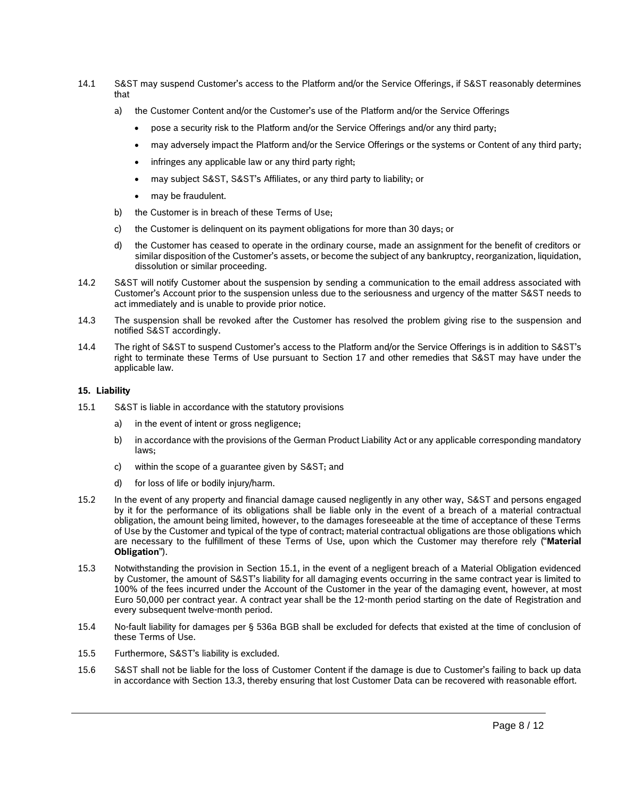- 14.1 S&ST may suspend Customer's access to the Platform and/or the Service Offerings, if S&ST reasonably determines that
	- a) the Customer Content and/or the Customer's use of the Platform and/or the Service Offerings
		- pose a security risk to the Platform and/or the Service Offerings and/or any third party;
		- may adversely impact the Platform and/or the Service Offerings or the systems or Content of any third party;
		- infringes any applicable law or any third party right;
		- may subject S&ST, S&ST's Affiliates, or any third party to liability; or
		- may be fraudulent.
	- b) the Customer is in breach of these Terms of Use;
	- c) the Customer is delinquent on its payment obligations for more than 30 days; or
	- d) the Customer has ceased to operate in the ordinary course, made an assignment for the benefit of creditors or similar disposition of the Customer's assets, or become the subject of any bankruptcy, reorganization, liquidation, dissolution or similar proceeding.
- 14.2 S&ST will notify Customer about the suspension by sending a communication to the email address associated with Customer's Account prior to the suspension unless due to the seriousness and urgency of the matter S&ST needs to act immediately and is unable to provide prior notice.
- 14.3 The suspension shall be revoked after the Customer has resolved the problem giving rise to the suspension and notified S&ST accordingly.
- 14.4 The right of S&ST to suspend Customer's access to the Platform and/or the Service Offerings is in addition to S&ST's right to terminate these Terms of Use pursuant to Section 17 and other remedies that S&ST may have under the applicable law.

# **15. Liability**

- <span id="page-7-0"></span>15.1 S&ST is liable in accordance with the statutory provisions
	- a) in the event of intent or gross negligence;
	- b) in accordance with the provisions of the German Product Liability Act or any applicable corresponding mandatory laws;
	- c) within the scope of a guarantee given by S&ST; and
	- d) for loss of life or bodily injury/harm.
- 15.2 In the event of any property and financial damage caused negligently in any other way, S&ST and persons engaged by it for the performance of its obligations shall be liable only in the event of a breach of a material contractual obligation, the amount being limited, however, to the damages foreseeable at the time of acceptance of these Terms of Use by the Customer and typical of the type of contract; material contractual obligations are those obligations which are necessary to the fulfillment of these Terms of Use, upon which the Customer may therefore rely ("**Material Obligation**").
- 15.3 Notwithstanding the provision in Section [15.1,](#page-7-0) in the event of a negligent breach of a Material Obligation evidenced by Customer, the amount of S&ST's liability for all damaging events occurring in the same contract year is limited to 100% of the fees incurred under the Account of the Customer in the year of the damaging event, however, at most Euro 50,000 per contract year. A contract year shall be the 12-month period starting on the date of Registration and every subsequent twelve-month period.
- 15.4 No-fault liability for damages per § 536a BGB shall be excluded for defects that existed at the time of conclusion of these Terms of Use.
- 15.5 Furthermore, S&ST's liability is excluded.
- 15.6 S&ST shall not be liable for the loss of Customer Content if the damage is due to Customer's failing to back up data in accordance with Section [13.3,](#page-6-0) thereby ensuring that lost Customer Data can be recovered with reasonable effort.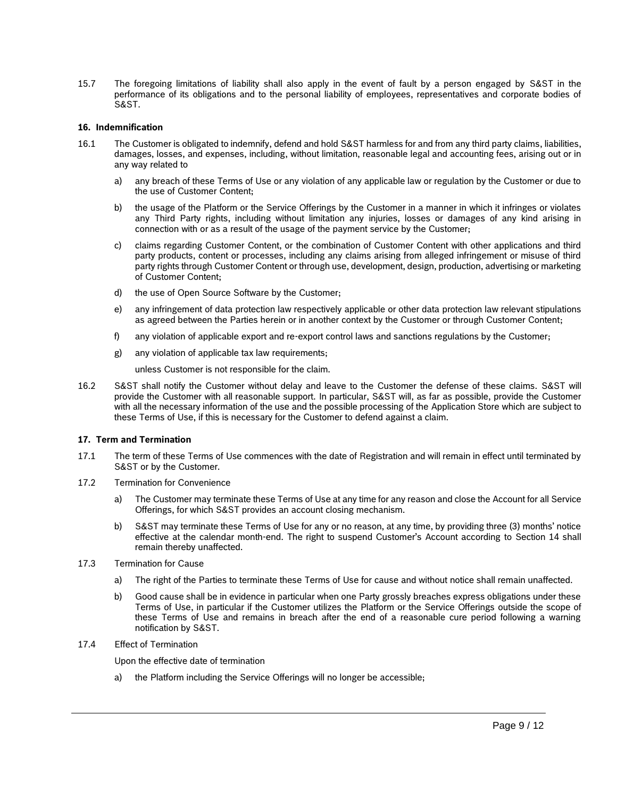15.7 The foregoing limitations of liability shall also apply in the event of fault by a person engaged by S&ST in the performance of its obligations and to the personal liability of employees, representatives and corporate bodies of S&ST.

# **16. Indemnification**

- 16.1 The Customer is obligated to indemnify, defend and hold S&ST harmless for and from any third party claims, liabilities, damages, losses, and expenses, including, without limitation, reasonable legal and accounting fees, arising out or in any way related to
	- a) any breach of these Terms of Use or any violation of any applicable law or regulation by the Customer or due to the use of Customer Content;
	- b) the usage of the Platform or the Service Offerings by the Customer in a manner in which it infringes or violates any Third Party rights, including without limitation any injuries, losses or damages of any kind arising in connection with or as a result of the usage of the payment service by the Customer;
	- c) claims regarding Customer Content, or the combination of Customer Content with other applications and third party products, content or processes, including any claims arising from alleged infringement or misuse of third party rights through Customer Content or through use, development, design, production, advertising or marketing of Customer Content;
	- d) the use of Open Source Software by the Customer;
	- e) any infringement of data protection law respectively applicable or other data protection law relevant stipulations as agreed between the Parties herein or in another context by the Customer or through Customer Content;
	- f) any violation of applicable export and re-export control laws and sanctions regulations by the Customer;
	- g) any violation of applicable tax law requirements;

unless Customer is not responsible for the claim.

16.2 S&ST shall notify the Customer without delay and leave to the Customer the defense of these claims. S&ST will provide the Customer with all reasonable support. In particular, S&ST will, as far as possible, provide the Customer with all the necessary information of the use and the possible processing of the Application Store which are subject to these Terms of Use, if this is necessary for the Customer to defend against a claim.

#### **17. Term and Termination**

- 17.1 The term of these Terms of Use commences with the date of Registration and will remain in effect until terminated by S&ST or by the Customer.
- 17.2 Termination for Convenience
	- a) The Customer may terminate these Terms of Use at any time for any reason and close the Account for all Service Offerings, for which S&ST provides an account closing mechanism.
	- b) S&ST may terminate these Terms of Use for any or no reason, at any time, by providing three (3) months' notice effective at the calendar month-end. The right to suspend Customer's Account according to Section 14 shall remain thereby unaffected.
- 17.3 Termination for Cause
	- a) The right of the Parties to terminate these Terms of Use for cause and without notice shall remain unaffected.
	- b) Good cause shall be in evidence in particular when one Party grossly breaches express obligations under these Terms of Use, in particular if the Customer utilizes the Platform or the Service Offerings outside the scope of these Terms of Use and remains in breach after the end of a reasonable cure period following a warning notification by S&ST.
- 17.4 Effect of Termination

Upon the effective date of termination

a) the Platform including the Service Offerings will no longer be accessible;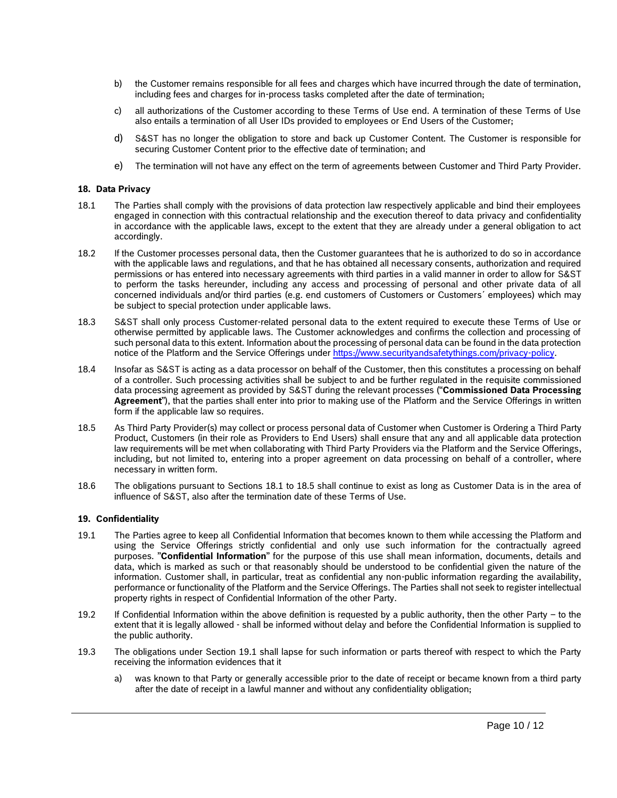- b) the Customer remains responsible for all fees and charges which have incurred through the date of termination, including fees and charges for in-process tasks completed after the date of termination;
- c) all authorizations of the Customer according to these Terms of Use end. A termination of these Terms of Use also entails a termination of all User IDs provided to employees or End Users of the Customer;
- d) S&ST has no longer the obligation to store and back up Customer Content. The Customer is responsible for securing Customer Content prior to the effective date of termination; and
- e) The termination will not have any effect on the term of agreements between Customer and Third Party Provider.

## **18. Data Privacy**

- <span id="page-9-0"></span>18.1 The Parties shall comply with the provisions of data protection law respectively applicable and bind their employees engaged in connection with this contractual relationship and the execution thereof to data privacy and confidentiality in accordance with the applicable laws, except to the extent that they are already under a general obligation to act accordingly.
- 18.2 If the Customer processes personal data, then the Customer guarantees that he is authorized to do so in accordance with the applicable laws and regulations, and that he has obtained all necessary consents, authorization and required permissions or has entered into necessary agreements with third parties in a valid manner in order to allow for S&ST to perform the tasks hereunder, including any access and processing of personal and other private data of all concerned individuals and/or third parties (e.g. end customers of Customers or Customers´ employees) which may be subject to special protection under applicable laws.
- 18.3 S&ST shall only process Customer-related personal data to the extent required to execute these Terms of Use or otherwise permitted by applicable laws. The Customer acknowledges and confirms the collection and processing of such personal data to this extent. Information about the processing of personal data can be found in the data protection notice of the Platform and the Service Offerings unde[r https://www.securityandsafetythings.com/privacy-policy.](https://www.securityandsafetythings.com/privacy-policy)
- 18.4 Insofar as S&ST is acting as a data processor on behalf of the Customer, then this constitutes a processing on behalf of a controller. Such processing activities shall be subject to and be further regulated in the requisite commissioned data processing agreement as provided by S&ST during the relevant processes ("**Commissioned Data Processing Agreement**"), that the parties shall enter into prior to making use of the Platform and the Service Offerings in written form if the applicable law so requires.
- <span id="page-9-1"></span>18.5 As Third Party Provider(s) may collect or process personal data of Customer when Customer is Ordering a Third Party Product, Customers (in their role as Providers to End Users) shall ensure that any and all applicable data protection law requirements will be met when collaborating with Third Party Providers via the Platform and the Service Offerings, including, but not limited to, entering into a proper agreement on data processing on behalf of a controller, where necessary in written form.
- 18.6 The obligations pursuant to Sections [18.1](#page-9-0) to [18.5](#page-9-1) shall continue to exist as long as Customer Data is in the area of influence of S&ST, also after the termination date of these Terms of Use.

# **19. Confidentiality**

- <span id="page-9-2"></span>19.1 The Parties agree to keep all Confidential Information that becomes known to them while accessing the Platform and using the Service Offerings strictly confidential and only use such information for the contractually agreed purposes. "**Confidential Information**" for the purpose of this use shall mean information, documents, details and data, which is marked as such or that reasonably should be understood to be confidential given the nature of the information. Customer shall, in particular, treat as confidential any non-public information regarding the availability, performance or functionality of the Platform and the Service Offerings. The Parties shall not seek to register intellectual property rights in respect of Confidential Information of the other Party.
- 19.2 If Confidential Information within the above definition is requested by a public authority, then the other Party to the extent that it is legally allowed - shall be informed without delay and before the Confidential Information is supplied to the public authority.
- <span id="page-9-3"></span>19.3 The obligations under Section [19.1](#page-9-2) shall lapse for such information or parts thereof with respect to which the Party receiving the information evidences that it
	- a) was known to that Party or generally accessible prior to the date of receipt or became known from a third party after the date of receipt in a lawful manner and without any confidentiality obligation;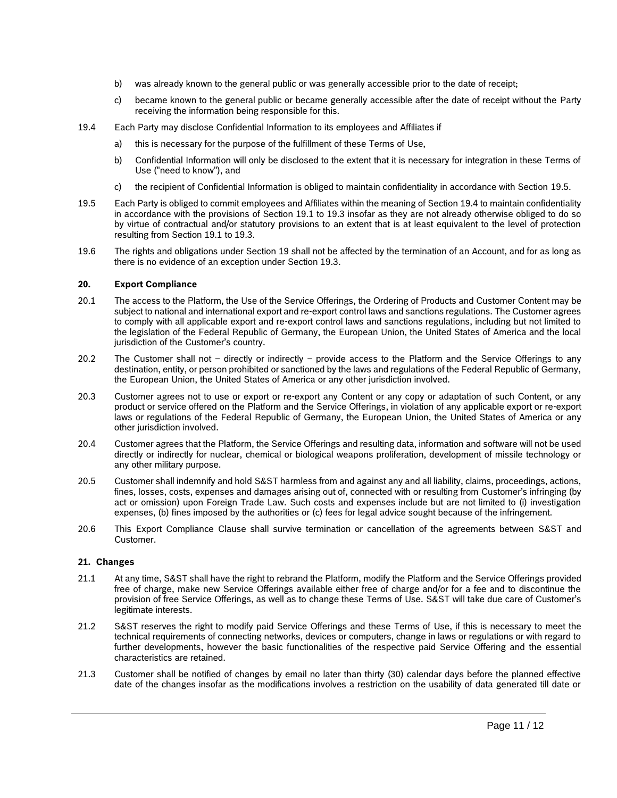- b) was already known to the general public or was generally accessible prior to the date of receipt;
- c) became known to the general public or became generally accessible after the date of receipt without the Party receiving the information being responsible for this.
- <span id="page-10-1"></span>19.4 Each Party may disclose Confidential Information to its employees and Affiliates if
	- a) this is necessary for the purpose of the fulfillment of these Terms of Use,
	- b) Confidential Information will only be disclosed to the extent that it is necessary for integration in these Terms of Use ("need to know"), and
	- c) the recipient of Confidential Information is obliged to maintain confidentiality in accordance with Section [19.5.](#page-10-0)
- <span id="page-10-0"></span>19.5 Each Party is obliged to commit employees and Affiliates within the meaning of Section [19.4](#page-10-1) to maintain confidentiality in accordance with the provisions of Section [19.1](#page-9-2) to [19.3](#page-9-3) insofar as they are not already otherwise obliged to do so by virtue of contractual and/or statutory provisions to an extent that is at least equivalent to the level of protection resulting from Section [19.1](#page-9-2) to [19.3.](#page-9-3)
- 19.6 The rights and obligations under Section 19 shall not be affected by the termination of an Account, and for as long as there is no evidence of an exception under Section 19.3.

# **20. Export Compliance**

- 20.1 The access to the Platform, the Use of the Service Offerings, the Ordering of Products and Customer Content may be subject to national and international export and re-export control laws and sanctions regulations. The Customer agrees to comply with all applicable export and re-export control laws and sanctions regulations, including but not limited to the legislation of the Federal Republic of Germany, the European Union, the United States of America and the local jurisdiction of the Customer's country.
- 20.2 The Customer shall not directly or indirectly provide access to the Platform and the Service Offerings to any destination, entity, or person prohibited or sanctioned by the laws and regulations of the Federal Republic of Germany, the European Union, the United States of America or any other jurisdiction involved.
- 20.3 Customer agrees not to use or export or re-export any Content or any copy or adaptation of such Content, or any product or service offered on the Platform and the Service Offerings, in violation of any applicable export or re-export laws or regulations of the Federal Republic of Germany, the European Union, the United States of America or any other jurisdiction involved.
- 20.4 Customer agrees that the Platform, the Service Offerings and resulting data, information and software will not be used directly or indirectly for nuclear, chemical or biological weapons proliferation, development of missile technology or any other military purpose.
- 20.5 Customer shall indemnify and hold S&ST harmless from and against any and all liability, claims, proceedings, actions, fines, losses, costs, expenses and damages arising out of, connected with or resulting from Customer's infringing (by act or omission) upon Foreign Trade Law. Such costs and expenses include but are not limited to (i) investigation expenses, (b) fines imposed by the authorities or (c) fees for legal advice sought because of the infringement.
- 20.6 This Export Compliance Clause shall survive termination or cancellation of the agreements between S&ST and Customer.

# **21. Changes**

- 21.1 At any time, S&ST shall have the right to rebrand the Platform, modify the Platform and the Service Offerings provided free of charge, make new Service Offerings available either free of charge and/or for a fee and to discontinue the provision of free Service Offerings, as well as to change these Terms of Use. S&ST will take due care of Customer's legitimate interests.
- 21.2 S&ST reserves the right to modify paid Service Offerings and these Terms of Use, if this is necessary to meet the technical requirements of connecting networks, devices or computers, change in laws or regulations or with regard to further developments, however the basic functionalities of the respective paid Service Offering and the essential characteristics are retained.
- 21.3 Customer shall be notified of changes by email no later than thirty (30) calendar days before the planned effective date of the changes insofar as the modifications involves a restriction on the usability of data generated till date or